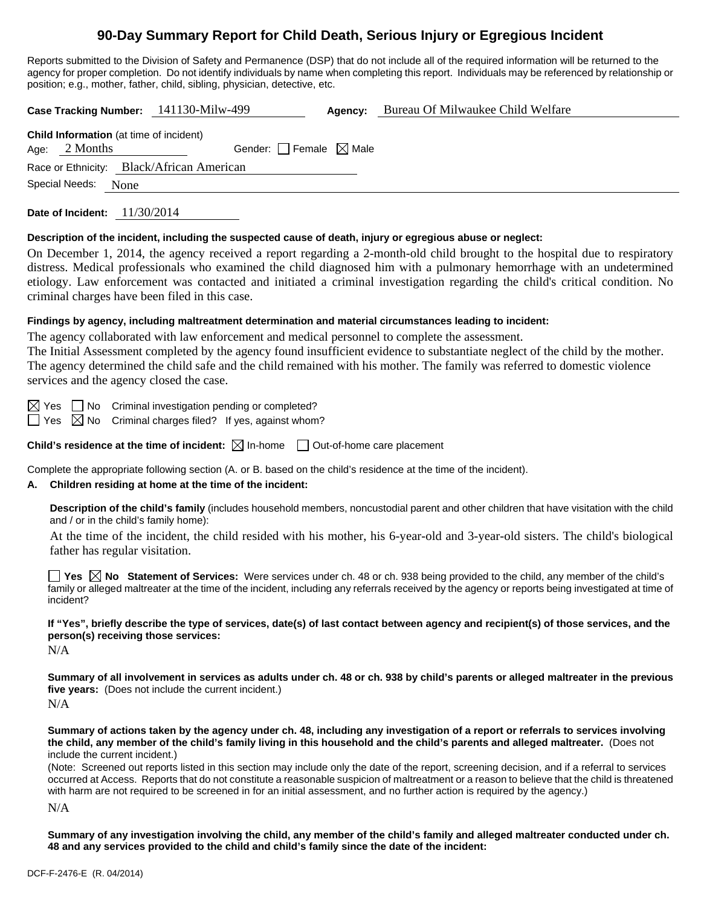# **90-Day Summary Report for Child Death, Serious Injury or Egregious Incident**

Reports submitted to the Division of Safety and Permanence (DSP) that do not include all of the required information will be returned to the agency for proper completion. Do not identify individuals by name when completing this report. Individuals may be referenced by relationship or position; e.g., mother, father, child, sibling, physician, detective, etc.

**Case Tracking Number:** 141130-Milw-499 **Agency:** Bureau Of Milwaukee Child Welfare **Child Information** (at time of incident) Age:  $2$  Months Gender: Female  $\boxtimes$  Male Race or Ethnicity: Black/African American

Special Needs: None

**Date of Incident:** 11/30/2014

#### **Description of the incident, including the suspected cause of death, injury or egregious abuse or neglect:**

On December 1, 2014, the agency received a report regarding a 2-month-old child brought to the hospital due to respiratory distress. Medical professionals who examined the child diagnosed him with a pulmonary hemorrhage with an undetermined etiology. Law enforcement was contacted and initiated a criminal investigation regarding the child's critical condition. No criminal charges have been filed in this case.

#### **Findings by agency, including maltreatment determination and material circumstances leading to incident:**

The agency collaborated with law enforcement and medical personnel to complete the assessment.

The Initial Assessment completed by the agency found insufficient evidence to substantiate neglect of the child by the mother. The agency determined the child safe and the child remained with his mother. The family was referred to domestic violence services and the agency closed the case.

 $\boxtimes$  Yes  $\Box$  No Criminal investigation pending or completed?

 $\Box$  Yes  $\boxtimes$  No Criminal charges filed? If yes, against whom?

**Child's residence at the time of incident:**  $\boxtimes$  In-home  $\Box$  Out-of-home care placement

Complete the appropriate following section (A. or B. based on the child's residence at the time of the incident).

## **A. Children residing at home at the time of the incident:**

**Description of the child's family** (includes household members, noncustodial parent and other children that have visitation with the child and / or in the child's family home):

 At the time of the incident, the child resided with his mother, his 6-year-old and 3-year-old sisters. The child's biological father has regular visitation.

**Yes**  $\boxtimes$  **No** Statement of Services: Were services under ch. 48 or ch. 938 being provided to the child, any member of the child's family or alleged maltreater at the time of the incident, including any referrals received by the agency or reports being investigated at time of incident?

**If "Yes", briefly describe the type of services, date(s) of last contact between agency and recipient(s) of those services, and the person(s) receiving those services:** 

N/A

**Summary of all involvement in services as adults under ch. 48 or ch. 938 by child's parents or alleged maltreater in the previous five years:** (Does not include the current incident.) N/A

**Summary of actions taken by the agency under ch. 48, including any investigation of a report or referrals to services involving the child, any member of the child's family living in this household and the child's parents and alleged maltreater.** (Does not include the current incident.)

(Note: Screened out reports listed in this section may include only the date of the report, screening decision, and if a referral to services occurred at Access. Reports that do not constitute a reasonable suspicion of maltreatment or a reason to believe that the child is threatened with harm are not required to be screened in for an initial assessment, and no further action is required by the agency.)

N/A

**Summary of any investigation involving the child, any member of the child's family and alleged maltreater conducted under ch. 48 and any services provided to the child and child's family since the date of the incident:**